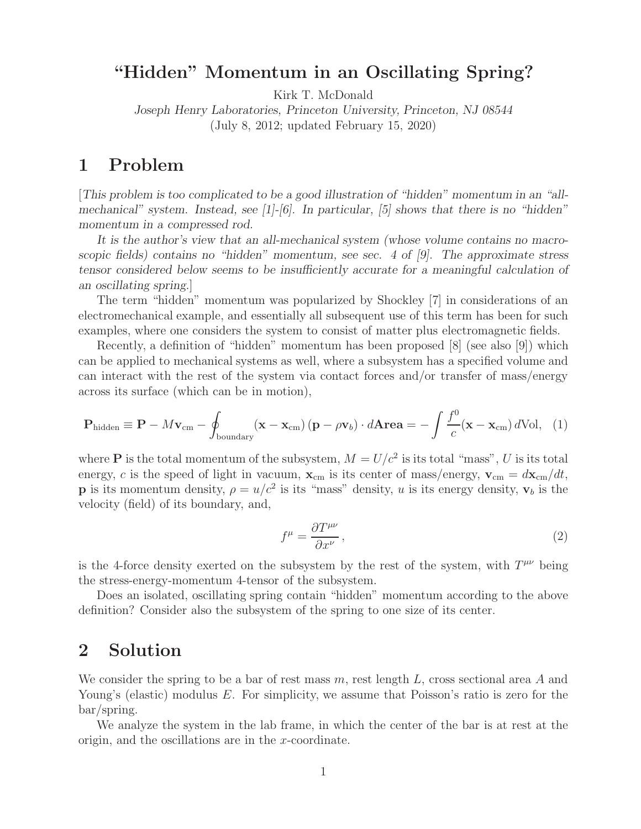# **"Hidden" Momentum in an Oscillating Spring?**

Kirk T. McDonald

*Joseph Henry Laboratories, Princeton University, Princeton, NJ 08544* (July 8, 2012; updated February 15, 2020)

# **1 Problem**

[*This problem is too complicated to be a good illustration of "hidden" momentum in an "allmechanical" system. Instead, see [1]-[6]. In particular, [5] shows that there is no "hidden" momentum in a compressed rod.*

*It is the author's view that an all-mechanical system (whose volume contains no macroscopic fields) contains no "hidden" momentum, see sec. 4 of [9]. The approximate stress tensor considered below seems to be insufficiently accurate for a meaningful calculation of an oscillating spring.*]

The term "hidden" momentum was popularized by Shockley [7] in considerations of an electromechanical example, and essentially all subsequent use of this term has been for such examples, where one considers the system to consist of matter plus electromagnetic fields.

Recently, a definition of "hidden" momentum has been proposed [8] (see also [9]) which can be applied to mechanical systems as well, where a subsystem has a specified volume and can interact with the rest of the system via contact forces and/or transfer of mass/energy across its surface (which can be in motion),

$$
\mathbf{P}_{\text{hidden}} \equiv \mathbf{P} - M\mathbf{v}_{\text{cm}} - \oint_{\text{boundary}} (\mathbf{x} - \mathbf{x}_{\text{cm}}) (\mathbf{p} - \rho \mathbf{v}_b) \cdot d\mathbf{A} \mathbf{r} \mathbf{e} \mathbf{a} = -\int \frac{f^0}{c} (\mathbf{x} - \mathbf{x}_{\text{cm}}) d\text{Vol}, \quad (1)
$$

where **P** is the total momentum of the subsystem,  $M = U/c^2$  is its total "mass", U is its total energy, c is the speed of light in vacuum,  $\mathbf{x}_{cm}$  is its center of mass/energy,  $\mathbf{v}_{cm} = d\mathbf{x}_{cm}/dt$ , **p** is its momentum density,  $\rho = u/c^2$  is its "mass" density, u is its energy density,  $\mathbf{v}_b$  is the velocity (field) of its boundary, and,

$$
f^{\mu} = \frac{\partial T^{\mu\nu}}{\partial x^{\nu}},\tag{2}
$$

is the 4-force density exerted on the subsystem by the rest of the system, with  $T^{\mu\nu}$  being the stress-energy-momentum 4-tensor of the subsystem.

Does an isolated, oscillating spring contain "hidden" momentum according to the above definition? Consider also the subsystem of the spring to one size of its center.

## **2 Solution**

We consider the spring to be a bar of rest mass  $m$ , rest length  $L$ , cross sectional area  $A$  and Young's (elastic) modulus E. For simplicity, we assume that Poisson's ratio is zero for the bar/spring.

We analyze the system in the lab frame, in which the center of the bar is at rest at the origin, and the oscillations are in the x-coordinate.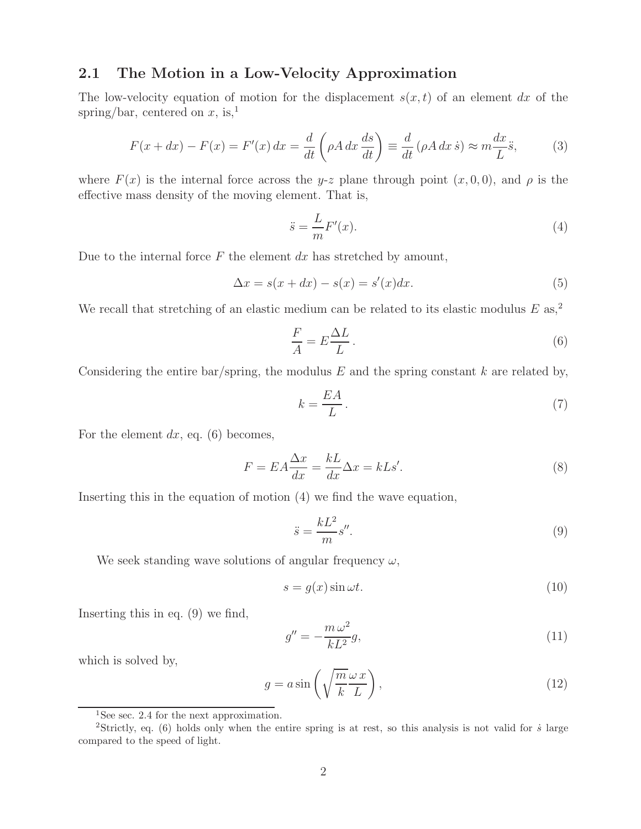### **2.1 The Motion in a Low-Velocity Approximation**

The low-velocity equation of motion for the displacement  $s(x, t)$  of an element dx of the spring/bar, centered on x, is,<sup>1</sup>

$$
F(x+dx) - F(x) = F'(x) dx = \frac{d}{dt} \left( \rho A \, dx \, \frac{ds}{dt} \right) \equiv \frac{d}{dt} \left( \rho A \, dx \, \dot{s} \right) \approx m \frac{dx}{L} \ddot{s},\tag{3}
$$

where  $F(x)$  is the internal force across the y-z plane through point  $(x, 0, 0)$ , and  $\rho$  is the effective mass density of the moving element. That is,

$$
\ddot{s} = \frac{L}{m}F'(x). \tag{4}
$$

Due to the internal force  $F$  the element  $dx$  has stretched by amount,

$$
\Delta x = s(x + dx) - s(x) = s'(x)dx.
$$
\n(5)

We recall that stretching of an elastic medium can be related to its elastic modulus  $E$  as,<sup>2</sup>

$$
\frac{F}{A} = E \frac{\Delta L}{L} \,. \tag{6}
$$

Considering the entire bar/spring, the modulus  $E$  and the spring constant  $k$  are related by,

$$
k = \frac{EA}{L} \,. \tag{7}
$$

For the element  $dx$ , eq. (6) becomes,

$$
F = EA \frac{\Delta x}{dx} = \frac{kL}{dx} \Delta x = kLs'.\tag{8}
$$

Inserting this in the equation of motion (4) we find the wave equation,

$$
\ddot{s} = \frac{kL^2}{m} s''.
$$
\n(9)

We seek standing wave solutions of angular frequency  $\omega$ ,

$$
s = g(x)\sin\omega t. \tag{10}
$$

Inserting this in eq. (9) we find,

$$
g'' = -\frac{m\,\omega^2}{kL^2}g,\tag{11}
$$

which is solved by,

$$
g = a \sin\left(\sqrt{\frac{m}{k}} \frac{\omega x}{L}\right),\tag{12}
$$

<sup>&</sup>lt;sup>1</sup>See sec. 2.4 for the next approximation.

<sup>&</sup>lt;sup>2</sup>Strictly, eq. (6) holds only when the entire spring is at rest, so this analysis is not valid for  $\dot{s}$  large compared to the speed of light.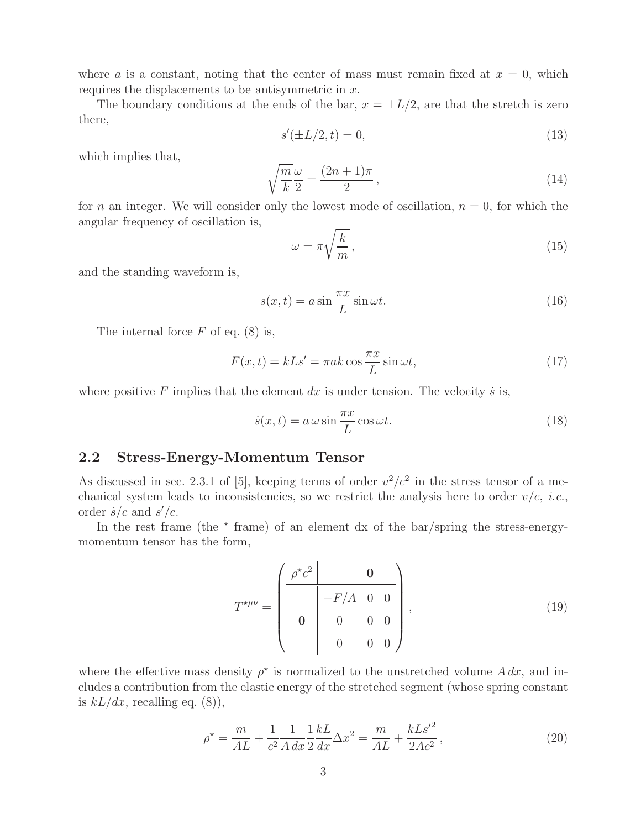where a is a constant, noting that the center of mass must remain fixed at  $x = 0$ , which requires the displacements to be antisymmetric in x.

The boundary conditions at the ends of the bar,  $x = \pm L/2$ , are that the stretch is zero there,

$$
s'(\pm L/2, t) = 0,\t(13)
$$

which implies that,

$$
\sqrt{\frac{m}{k}}\frac{\omega}{2} = \frac{(2n+1)\pi}{2},\tag{14}
$$

for n an integer. We will consider only the lowest mode of oscillation,  $n = 0$ , for which the angular frequency of oscillation is,

$$
\omega = \pi \sqrt{\frac{k}{m}},\tag{15}
$$

and the standing waveform is,

$$
s(x,t) = a\sin\frac{\pi x}{L}\sin\omega t.
$$
 (16)

The internal force  $F$  of eq. (8) is,

$$
F(x,t) = kLs' = \pi ak \cos \frac{\pi x}{L} \sin \omega t, \qquad (17)
$$

where positive F implies that the element dx is under tension. The velocity is is,

$$
\dot{s}(x,t) = a\,\omega\sin\frac{\pi x}{L}\cos\omega t.\tag{18}
$$

#### **2.2 Stress-Energy-Momentum Tensor**

As discussed in sec. 2.3.1 of [5], keeping terms of order  $v^2/c^2$  in the stress tensor of a mechanical system leads to inconsistencies, so we restrict the analysis here to order  $v/c$ , *i.e.*, order  $\dot{s}/c$  and  $s'/c$ .

In the rest frame (the  $\star$  frame) of an element dx of the bar/spring the stress-energymomentum tensor has the form,

$$
T^{\star\mu\nu} = \begin{pmatrix} \frac{\rho^{\star}c^2}{\rho^{\star}c^2} & \mathbf{0} \\ -F/A & 0 & 0 \\ \mathbf{0} & 0 & 0 & 0 \\ 0 & 0 & 0 & 0 \end{pmatrix},
$$
(19)

where the effective mass density  $\rho^*$  is normalized to the unstretched volume A dx, and includes a contribution from the elastic energy of the stretched segment (whose spring constant is  $kL/dx$ , recalling eq. (8)),

$$
\rho^* = \frac{m}{AL} + \frac{1}{c^2} \frac{1}{A} \frac{1}{dx} \frac{kL}{2} \Delta x^2 = \frac{m}{AL} + \frac{kLs'^2}{2Ac^2},\tag{20}
$$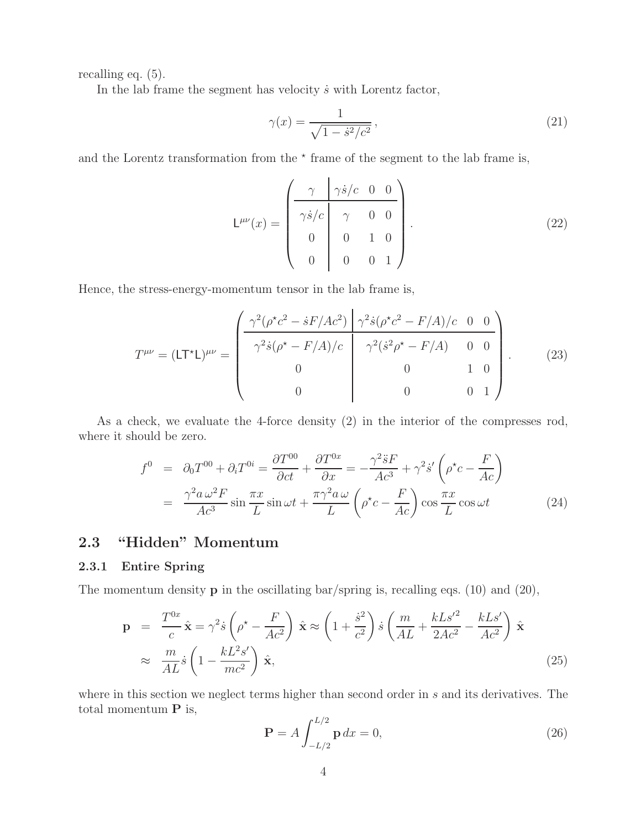recalling eq. (5).

In the lab frame the segment has velocity  $\dot{s}$  with Lorentz factor,

$$
\gamma(x) = \frac{1}{\sqrt{1 - \dot{s}^2/c^2}},\tag{21}
$$

and the Lorentz transformation from the  $*$  frame of the segment to the lab frame is,

$$
\mathsf{L}^{\mu\nu}(x) = \begin{pmatrix} \gamma & \gamma \dot{s}/c & 0 & 0 \\ \gamma \dot{s}/c & \gamma & 0 & 0 \\ 0 & 0 & 1 & 0 \\ 0 & 0 & 0 & 1 \end{pmatrix} . \tag{22}
$$

Hence, the stress-energy-momentum tensor in the lab frame is,

$$
T^{\mu\nu} = (\mathsf{L} \mathsf{T}^* \mathsf{L})^{\mu\nu} = \begin{pmatrix} \frac{\gamma^2 (\rho^* c^2 - \dot{s} F/Ac^2)}{\gamma^2 \dot{s} (\rho^* c^2 - F/A)/c} & \frac{\gamma^2 \dot{s} (\rho^* c^2 - F/A)/c}{\gamma^2 (\dot{s}^2 \rho^* - F/A)} & 0 & 0\\ 0 & 0 & 1 & 0\\ 0 & 0 & 0 & 1 \end{pmatrix} . \tag{23}
$$

As a check, we evaluate the 4-force density (2) in the interior of the compresses rod, where it should be zero.

$$
f^{0} = \partial_{0} T^{00} + \partial_{i} T^{0i} = \frac{\partial T^{00}}{\partial ct} + \frac{\partial T^{0x}}{\partial x} = -\frac{\gamma^{2} \ddot{s} F}{Ac^{3}} + \gamma^{2} \dot{s}' \left( \rho^{\star} c - \frac{F}{Ac} \right)
$$

$$
= \frac{\gamma^{2} a \,\omega^{2} F}{Ac^{3}} \sin \frac{\pi x}{L} \sin \omega t + \frac{\pi \gamma^{2} a \,\omega}{L} \left( \rho^{\star} c - \frac{F}{Ac} \right) \cos \frac{\pi x}{L} \cos \omega t \tag{24}
$$

## **2.3 "Hidden" Momentum**

#### **2.3.1 Entire Spring**

The momentum density **p** in the oscillating bar/spring is, recalling eqs. (10) and (20),

$$
\mathbf{p} = \frac{T^{0x}}{c} \hat{\mathbf{x}} = \gamma^2 \dot{s} \left( \rho^* - \frac{F}{Ac^2} \right) \hat{\mathbf{x}} \approx \left( 1 + \frac{\dot{s}^2}{c^2} \right) \dot{s} \left( \frac{m}{AL} + \frac{kLs'^2}{2Ac^2} - \frac{kLs'}{Ac^2} \right) \hat{\mathbf{x}}
$$
  
 
$$
\approx \frac{m}{AL} \dot{s} \left( 1 - \frac{kL^2s'}{mc^2} \right) \hat{\mathbf{x}},
$$
 (25)

where in this section we neglect terms higher than second order in s and its derivatives. The total momentum **P** is,  $\mathbf{r}$   $\mathbf{r}$ 

$$
\mathbf{P} = A \int_{-L/2}^{L/2} \mathbf{p} \, dx = 0,\tag{26}
$$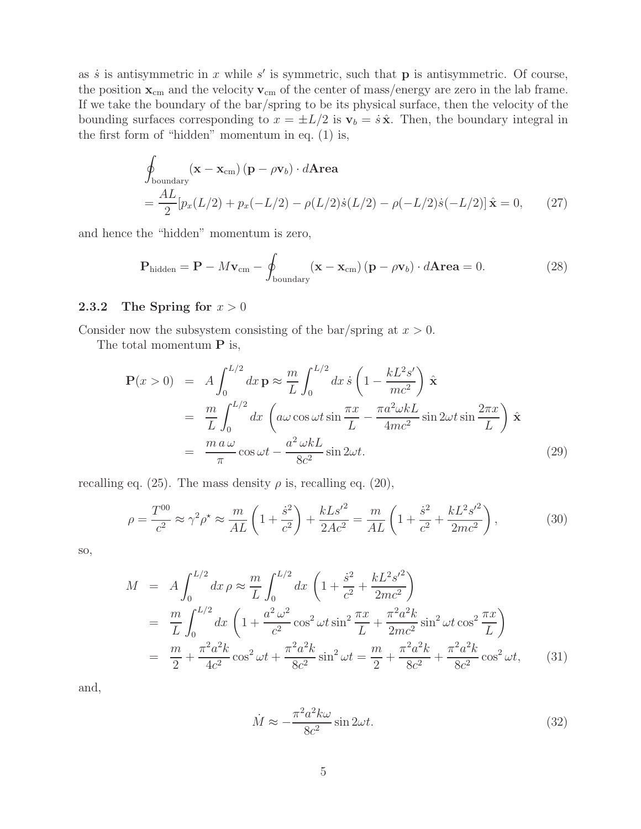as  $\dot{s}$  is antisymmetric in x while  $s'$  is symmetric, such that **p** is antisymmetric. Of course, the position  $\mathbf{x}_{cm}$  and the velocity  $\mathbf{v}_{cm}$  of the center of mass/energy are zero in the lab frame. If we take the boundary of the bar/spring to be its physical surface, then the velocity of the bounding surfaces corresponding to  $x = \pm L/2$  is  $v_b = \dot{s} \hat{x}$ . Then, the boundary integral in the first form of "hidden" momentum in eq. (1) is,

$$
\oint_{\text{boundary}} (\mathbf{x} - \mathbf{x}_{\text{cm}}) (\mathbf{p} - \rho \mathbf{v}_b) \cdot d\mathbf{Area}
$$
\n
$$
= \frac{AL}{2} [p_x(L/2) + p_x(-L/2) - \rho(L/2)\dot{s}(L/2) - \rho(-L/2)\dot{s}(-L/2)] \hat{\mathbf{x}} = 0,
$$
\n(27)

and hence the "hidden" momentum is zero,

$$
\mathbf{P}_{\text{hidden}} = \mathbf{P} - M\mathbf{v}_{\text{cm}} - \oint_{\text{boundary}} (\mathbf{x} - \mathbf{x}_{\text{cm}}) (\mathbf{p} - \rho \mathbf{v}_b) \cdot d\mathbf{Area} = 0.
$$
 (28)

#### **2.3.2** The Spring for  $x > 0$

Consider now the subsystem consisting of the bar/spring at  $x > 0$ .

The total momentum **P** is,

$$
\mathbf{P}(x > 0) = A \int_0^{L/2} dx \, \mathbf{p} \approx \frac{m}{L} \int_0^{L/2} dx \, \dot{s} \left( 1 - \frac{kL^2 s'}{mc^2} \right) \hat{\mathbf{x}} \n= \frac{m}{L} \int_0^{L/2} dx \left( a\omega \cos \omega t \sin \frac{\pi x}{L} - \frac{\pi a^2 \omega k L}{4mc^2} \sin 2\omega t \sin \frac{2\pi x}{L} \right) \hat{\mathbf{x}} \n= \frac{m a \omega}{\pi} \cos \omega t - \frac{a^2 \omega k L}{8c^2} \sin 2\omega t.
$$
\n(29)

recalling eq. (25). The mass density  $\rho$  is, recalling eq. (20),

$$
\rho = \frac{T^{00}}{c^2} \approx \gamma^2 \rho^* \approx \frac{m}{AL} \left( 1 + \frac{\dot{s}^2}{c^2} \right) + \frac{kLs'^2}{2Ac^2} = \frac{m}{AL} \left( 1 + \frac{\dot{s}^2}{c^2} + \frac{kL^2s'^2}{2mc^2} \right),\tag{30}
$$

so,

$$
M = A \int_0^{L/2} dx \,\rho \approx \frac{m}{L} \int_0^{L/2} dx \left( 1 + \frac{\dot{s}^2}{c^2} + \frac{kL^2 s'^2}{2mc^2} \right)
$$
  
\n
$$
= \frac{m}{L} \int_0^{L/2} dx \left( 1 + \frac{a^2 \omega^2}{c^2} \cos^2 \omega t \sin^2 \frac{\pi x}{L} + \frac{\pi^2 a^2 k}{2mc^2} \sin^2 \omega t \cos^2 \frac{\pi x}{L} \right)
$$
  
\n
$$
= \frac{m}{2} + \frac{\pi^2 a^2 k}{4c^2} \cos^2 \omega t + \frac{\pi^2 a^2 k}{8c^2} \sin^2 \omega t = \frac{m}{2} + \frac{\pi^2 a^2 k}{8c^2} + \frac{\pi^2 a^2 k}{8c^2} \cos^2 \omega t,
$$
 (31)

and,

$$
\dot{M} \approx -\frac{\pi^2 a^2 k \omega}{8c^2} \sin 2\omega t. \tag{32}
$$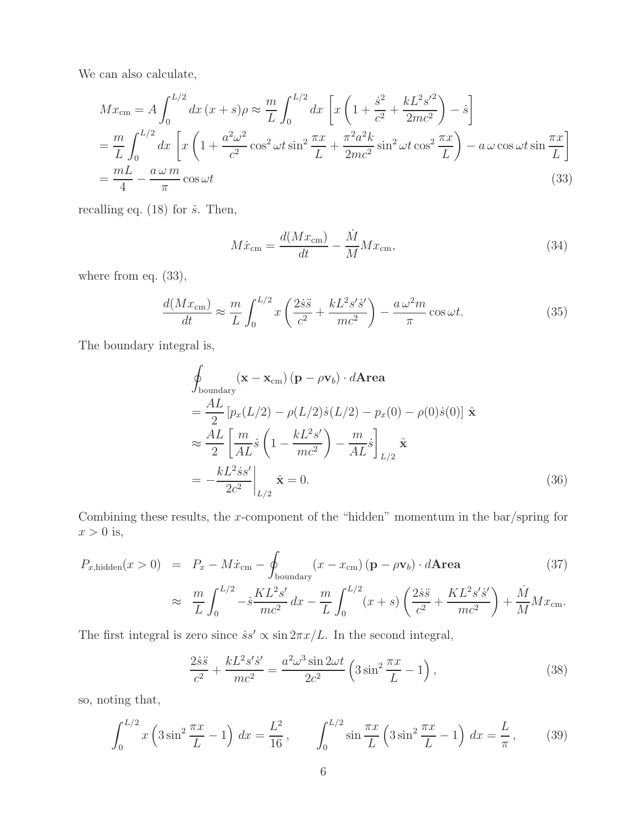We can also calculate,

$$
Mx_{\rm cm} = A \int_0^{L/2} dx (x + s)\rho \approx \frac{m}{L} \int_0^{L/2} dx \left[ x \left( 1 + \frac{\dot{s}^2}{c^2} + \frac{kL^2 s'^2}{2mc^2} \right) - \dot{s} \right]
$$
  
=  $\frac{m}{L} \int_0^{L/2} dx \left[ x \left( 1 + \frac{a^2 \omega^2}{c^2} \cos^2 \omega t \sin^2 \frac{\pi x}{L} + \frac{\pi^2 a^2 k}{2mc^2} \sin^2 \omega t \cos^2 \frac{\pi x}{L} \right) - a \omega \cos \omega t \sin \frac{\pi x}{L} \right]$   
=  $\frac{mL}{4} - \frac{a \omega m}{\pi} \cos \omega t$  (33)

recalling eq.  $(18)$  for  $\dot{s}$ . Then,

$$
M\dot{x}_{\rm cm} = \frac{d(Mx_{\rm cm})}{dt} - \frac{\dot{M}}{M}Mx_{\rm cm},\tag{34}
$$

where from eq.  $(33)$ ,

$$
\frac{d(Mx_{\rm cm})}{dt} \approx \frac{m}{L} \int_0^{L/2} x \left( \frac{2\dot{s}\ddot{s}}{c^2} + \frac{kL^2 s'\dot{s}'}{mc^2} \right) - \frac{a\,\omega^2 m}{\pi} \cos\omega t. \tag{35}
$$

The boundary integral is,

$$
\oint_{\text{boundary}} (\mathbf{x} - \mathbf{x}_{\text{cm}}) (\mathbf{p} - \rho \mathbf{v}_b) \cdot d\mathbf{Area}
$$
\n
$$
= \frac{AL}{2} [p_x(L/2) - \rho(L/2)\dot{s}(L/2) - p_x(0) - \rho(0)\dot{s}(0)] \hat{\mathbf{x}}
$$
\n
$$
\approx \frac{AL}{2} \left[ \frac{m}{AL}\dot{s} \left( 1 - \frac{kL^2s'}{mc^2} \right) - \frac{m}{AL}\dot{s} \right]_{L/2} \hat{\mathbf{x}}
$$
\n
$$
= -\frac{kL^2\dot{s}s'}{2c^2} \bigg|_{L/2} \hat{\mathbf{x}} = 0. \tag{36}
$$

Combining these results, the x-component of the "hidden" momentum in the bar/spring for  $x > 0$  is,

$$
P_{x, \text{hidden}}(x > 0) = P_x - M\dot{x}_{\text{cm}} - \oint_{\text{boundary}} (x - x_{\text{cm}}) (\mathbf{p} - \rho \mathbf{v}_b) \cdot d\mathbf{Area}
$$
(37)

$$
\approx \frac{m}{L} \int_0^{L/2} -\dot{s} \frac{KL^2 s'}{mc^2} dx - \frac{m}{L} \int_0^{L/2} (x+s) \left( \frac{2\dot{s}\ddot{s}}{c^2} + \frac{KL^2 s'\dot{s}'}{mc^2} \right) + \frac{\dot{M}}{M} M x_{\text{cm}}.
$$

The first integral is zero since  $\dot{s}s' \propto \sin 2\pi x/L$ . In the second integral,

$$
\frac{2\dot{s}\ddot{s}}{c^2} + \frac{kL^2 s'\dot{s}'}{mc^2} = \frac{a^2 \omega^3 \sin 2\omega t}{2c^2} \left(3\sin^2\frac{\pi x}{L} - 1\right),\tag{38}
$$

so, noting that,

$$
\int_0^{L/2} x \left( 3 \sin^2 \frac{\pi x}{L} - 1 \right) dx = \frac{L^2}{16}, \qquad \int_0^{L/2} \sin \frac{\pi x}{L} \left( 3 \sin^2 \frac{\pi x}{L} - 1 \right) dx = \frac{L}{\pi}, \qquad (39)
$$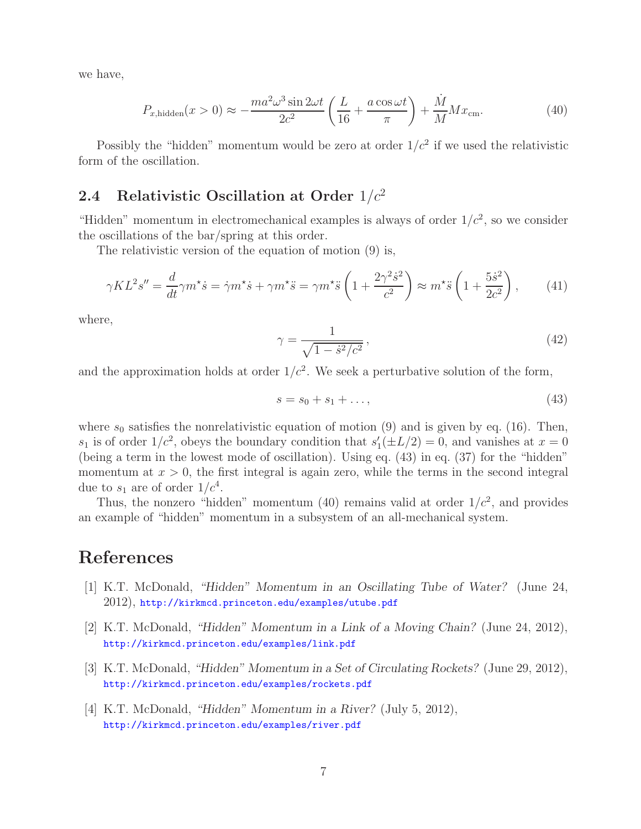we have,

$$
P_{x, \text{hidden}}(x > 0) \approx -\frac{ma^2\omega^3 \sin 2\omega t}{2c^2} \left(\frac{L}{16} + \frac{a \cos \omega t}{\pi}\right) + \frac{\dot{M}}{M} M x_{\text{cm}}.\tag{40}
$$

Possibly the "hidden" momentum would be zero at order  $1/c^2$  if we used the relativistic form of the oscillation.

## **2.4 Relativistic Oscillation at Order** 1/c<sup>2</sup>

"Hidden" momentum in electromechanical examples is always of order  $1/c^2$ , so we consider the oscillations of the bar/spring at this order.

The relativistic version of the equation of motion (9) is,

$$
\gamma KL^{2}s'' = \frac{d}{dt}\gamma m^{\star}\dot{s} = \dot{\gamma}m^{\star}\dot{s} + \gamma m^{\star}\ddot{s} = \gamma m^{\star}\ddot{s}\left(1 + \frac{2\gamma^{2}\dot{s}^{2}}{c^{2}}\right) \approx m^{\star}\ddot{s}\left(1 + \frac{5\dot{s}^{2}}{2c^{2}}\right),\tag{41}
$$

where,

$$
\gamma = \frac{1}{\sqrt{1 - \dot{s}^2/c^2}},\tag{42}
$$

and the approximation holds at order  $1/c^2$ . We seek a perturbative solution of the form,

$$
s = s_0 + s_1 + \dots,\tag{43}
$$

where  $s_0$  satisfies the nonrelativistic equation of motion (9) and is given by eq. (16). Then,  $s_1$  is of order  $1/c^2$ , obeys the boundary condition that  $s'_1(\pm L/2) = 0$ , and vanishes at  $x = 0$ (being a term in the lowest mode of oscillation). Using eq. (43) in eq. (37) for the "hidden" momentum at  $x > 0$ , the first integral is again zero, while the terms in the second integral due to  $s_1$  are of order  $1/c^4$ .

Thus, the nonzero "hidden" momentum (40) remains valid at order  $1/c^2$ , and provides an example of "hidden" momentum in a subsystem of an all-mechanical system.

# **References**

- [1] K.T. McDonald, *"Hidden" Momentum in an Oscillating Tube of Water?* (June 24, 2012), http://kirkmcd.princeton.edu/examples/utube.pdf
- [2] K.T. McDonald, *"Hidden" Momentum in a Link of a Moving Chain?* (June 24, 2012), http://kirkmcd.princeton.edu/examples/link.pdf
- [3] K.T. McDonald, *"Hidden" Momentum in a Set of Circulating Rockets?* (June 29, 2012), http://kirkmcd.princeton.edu/examples/rockets.pdf
- [4] K.T. McDonald, *"Hidden" Momentum in a River?* (July 5, 2012), http://kirkmcd.princeton.edu/examples/river.pdf